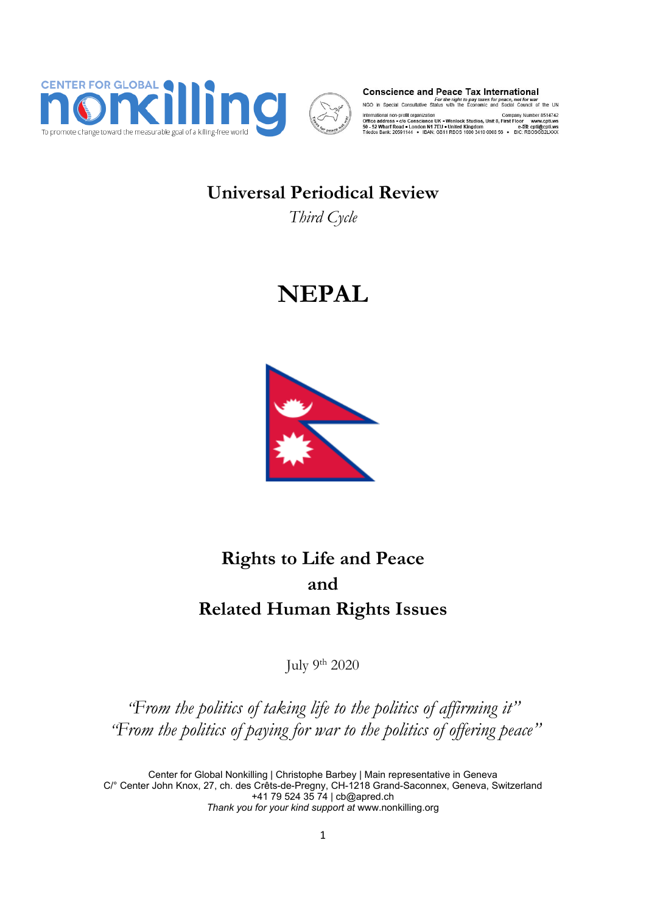



**Conscience and Peace Tax International** 

For the right to pay taxes for peace, not for war<br>NGO in Special Consultative Status with the Economic and Social Council of the UN

International non-profit organization<br>Office address  $\bullet$  cio Conscience UK + Wenlock Studios, Unit 8, First Floor www.cpti.ws<br>50 - 52 Wharf Road + London N1 7EU + United Kingdom<br>Triodos Bank: 20591144 - IBAN: GB11 RBOS 16

# **Universal Periodical Review**

*Third Cycle*

# **NEPAL**



# **Rights to Life and Peace and Related Human Rights Issues**

July <sup>9</sup>th 2020

*"From the politics of taking life to the politics of affirming it" "From the politics of paying for war to the politics of offering peace"*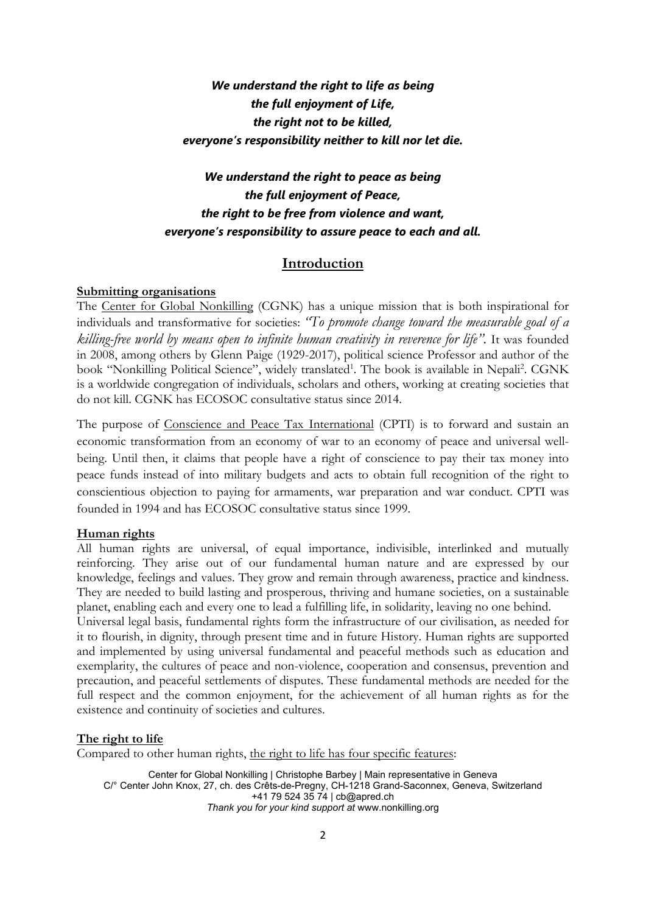# *We understand the right to life as being the full enjoyment of Life, the right not to be killed, everyone'<sup>s</sup> responsibility neither to kill nor let die.*

# *We understand the right to peace as being the full enjoyment of Peace, the right to be free from violence and want, everyone'<sup>s</sup> responsibility to assure peace to each and all.*

# **Introduction**

# **Submitting organisations**

The Center for Global Nonkilling (CGNK) has <sup>a</sup> unique mission that is both inspirational for individuals and transformative for societies: *"To promote change toward the measurable goal of <sup>a</sup> killing-free world by means open to infinite human creativity in reverence for life".* It was founded in 2008, among others by Glenn Paige (1929-2017), political science Professor and author of the book "Nonkilling Political Science", widely translated<sup>1</sup>. The book is available in Nepali<sup>2</sup>. CGNK is <sup>a</sup> worldwide congregation of individuals, scholars and others, working at creating societies that do not kill. CGNK has ECOSOC consultative status since 2014.

The purpose of Conscience and Peace Tax International (CPTI) is to forward and sustain an economic transformation from an economy of war to an economy of peace and universal wellbeing. Until then, it claims that people have <sup>a</sup> right of conscience to pay their tax money into peace funds instead of into military budgets and acts to obtain full recognition of the right to conscientious objection to paying for armaments, war preparation and war conduct. CPTI was founded in 1994 and has ECOSOC consultative status since 1999.

#### **Human rights**

All human rights are universal, of equal importance, indivisible, interlinked and mutually reinforcing. They arise out of our fundamental human nature and are expressed by our knowledge, feelings and values. They grow and remain through awareness, practice and kindness. They are needed to build lasting and prosperous, thriving and humane societies, on <sup>a</sup> sustainable planet, enabling each and every one to lead <sup>a</sup> fulfilling life, in solidarity, leaving no one behind.

Universal legal basis, fundamental rights form the infrastructure of our civilisation, as needed for it to flourish, in dignity, through present time and in future History. Human rights are supported and implemented by using universal fundamental and peaceful methods such as education and exemplarity, the cultures of peace and non-violence, cooperation and consensus, prevention and precaution, and peaceful settlements of disputes. These fundamental methods are needed for the full respect and the common enjoyment, for the achievement of all human rights as for the existence and continuity of societies and cultures.

# **The right to life**

Compared to other human rights, the right to life has four specific features: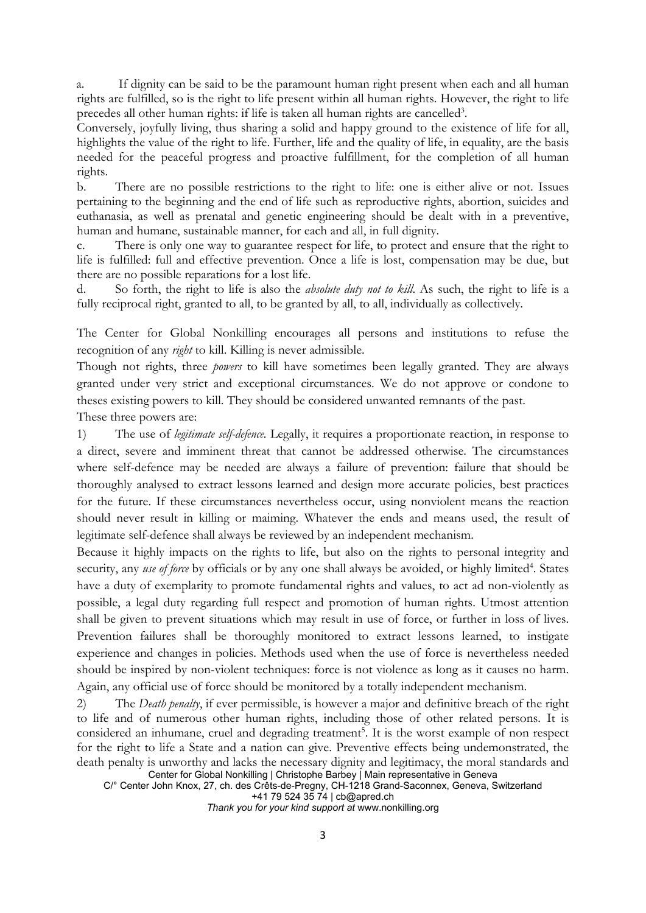a. If dignity can be said to be the paramount human right present when each and all human rights are fulfilled, so is the right to life present within all human rights. However, the right to life precedes all other human rights: if life is taken all human rights are cancelled $^3$ .

Conversely, joyfully living, thus sharing <sup>a</sup> solid and happy ground to the existence of life for all, highlights the value of the right to life. Further, life and the quality of life, in equality, are the basis needed for the peaceful progress and proactive fulfillment, for the completion of all human rights.

b. There are no possible restrictions to the right to life: one is either alive or not. Issues pertaining to the beginning and the end of life such as reproductive rights, abortion, suicides and euthanasia, as well as prenatal and genetic engineering should be dealt with in <sup>a</sup> preventive, human and humane, sustainable manner, for each and all, in full dignity.

c. There is only one way to guarantee respect for life, to protect and ensure that the right to life is fulfilled: full and effective prevention. Once <sup>a</sup> life is lost, compensation may be due, but there are no possible reparations for <sup>a</sup> lost life.

d. So forth, the right to life is also the *absolute duty not to kill*. As such, the right to life is <sup>a</sup> fully reciprocal right, granted to all, to be granted by all, to all, individually as collectively.

The Center for Global Nonkilling encourages all persons and institutions to refuse the recognition of any *right* to kill. Killing is never admissible.

Though not rights, three *powers* to kill have sometimes been legally granted. They are always granted under very strict and exceptional circumstances. We do not approve or condone to theses existing powers to kill. They should be considered unwanted remnants of the past.

These three powers are:

1) The use of *legitimate self-defence.* Legally, it requires <sup>a</sup> proportionate reaction, in response to <sup>a</sup> direct, severe and imminent threat that cannot be addressed otherwise. The circumstances where self-defence may be needed are always <sup>a</sup> failure of prevention: failure that should be thoroughly analysed to extract lessons learned and design more accurate policies, best practices for the future. If these circumstances nevertheless occur, using nonviolent means the reaction should never result in killing or maiming. Whatever the ends and means used, the result of legitimate self-defence shall always be reviewed by an independent mechanism.

Because it highly impacts on the rights to life, but also on the rights to personal integrity and security, any *use of force* by officials or by any one shall always be avoided, or highly limited<sup>4</sup>. States have <sup>a</sup> duty of exemplarity to promote fundamental rights and values, to act ad non-violently as possible, <sup>a</sup> legal duty regarding full respect and promotion of human rights. Utmost attention shall be given to prevent situations which may result in use of force, or further in loss of lives. Prevention failures shall be thoroughly monitored to extract lessons learned, to instigate experience and changes in policies. Methods used when the use of force is nevertheless needed should be inspired by non-violent techniques: force is not violence as long as it causes no harm. Again, any official use of force should be monitored by <sup>a</sup> totally independent mechanism.

Center for Global Nonkilling | Christophe Barbey | Main representative in Geneva 2) The *Death penalty*, if ever permissible, is however <sup>a</sup> major and definitive breach of the right to life and of numerous other human rights, including those of other related persons. It is considered an inhumane, cruel and degrading treatment 5 . It is the worst example of non respect for the right to life <sup>a</sup> State and <sup>a</sup> nation can give. Preventive effects being undemonstrated, the death penalty is unworthy and lacks the necessary dignity and legitimacy, the moral standards and

C/° Center John Knox, 27, ch. des Crêts-de-Pregny, CH-1218 Grand-Saconnex, Geneva, Switzerland +41 79 524 35 74 | [cb@apred.ch](mailto:cb@apred.ch)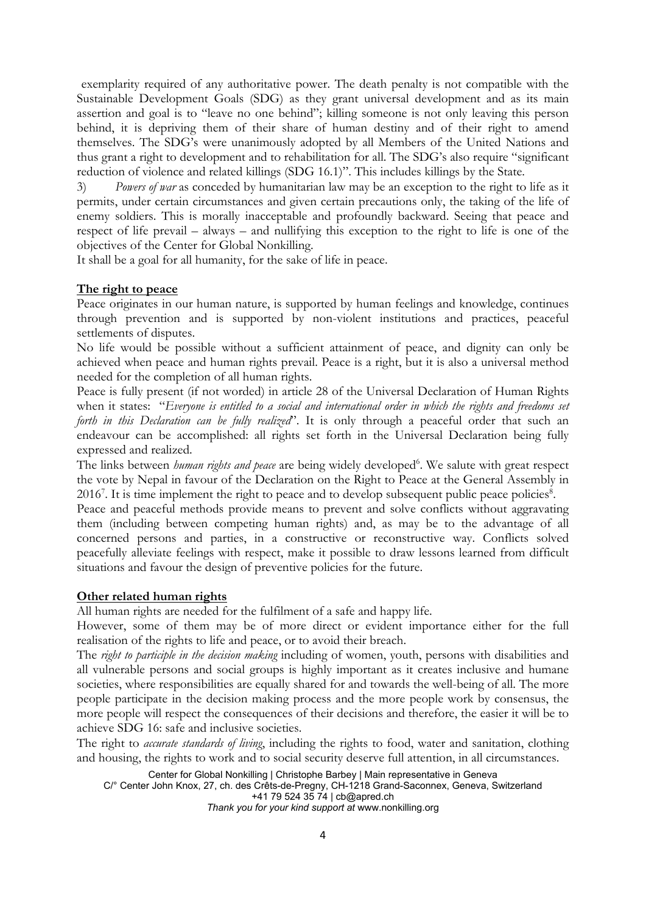exemplarity required of any authoritative power. The death penalty is not compatible with the Sustainable Development Goals (SDG) as they grant universal development and as its main assertion and goal is to "leave no one behind"; killing someone is not only leaving this person behind, it is depriving them of their share of human destiny and of their right to amend themselves. The SDG'<sup>s</sup> were unanimously adopted by all Members of the United Nations and thus grant <sup>a</sup> right to development and to rehabilitation for all. The SDG'<sup>s</sup> also require "significant reduction of violence and related killings (SDG 16.1)". This includes killings by the State.

3) *Powers of war* as conceded by humanitarian law may be an exception to the right to life as it permits, under certain circumstances and given certain precautions only, the taking of the life of enemy soldiers. This is morally inacceptable and profoundly backward. Seeing that peace and respect of life prevail – always – and nullifying this exception to the right to life is one of the objectives of the Center for Global Nonkilling.

It shall be <sup>a</sup> goal for all humanity, for the sake of life in peace.

#### **The right to peace**

Peace originates in our human nature, is supported by human feelings and knowledge, continues through prevention and is supported by non-violent institutions and practices, peaceful settlements of disputes.

No life would be possible without <sup>a</sup> sufficient attainment of peace, and dignity can only be achieved when peace and human rights prevail. Peace is <sup>a</sup> right, but it is also <sup>a</sup> universal method needed for the completion of all human rights.

Peace is fully present (if not worded) in article 28 of the Universal Declaration of Human Rights when it states: "*Everyone is entitled to <sup>a</sup> social and international order in which the rights and freedoms set forth in this Declaration can be fully realized*". It is only through <sup>a</sup> peaceful order that such an endeavour can be accomplished: all rights set forth in the Universal Declaration being fully expressed and realized.

The links between *human rights and peace* are being widely developed<sup>6</sup>. We salute with great respect the vote by Nepal in favour of the Declaration on the Right to Peace at the General Assembly in 2016<sup>7</sup>. It is time implement the right to peace and to develop subsequent public peace policies<sup>8</sup>.

Peace and peaceful methods provide means to prevent and solve conflicts without aggravating them (including between competing human rights) and, as may be to the advantage of all concerned persons and parties, in <sup>a</sup> constructive or reconstructive way. Conflicts solved peacefully alleviate feelings with respect, make it possible to draw lessons learned from difficult situations and favour the design of preventive policies for the future.

# **Other related human rights**

All human rights are needed for the fulfilment of <sup>a</sup> safe and happy life.

However, some of them may be of more direct or evident importance either for the full realisation of the rights to life and peace, or to avoid their breach.

The *right to participle in the decision making* including of women, youth, persons with disabilities and all vulnerable persons and social groups is highly important as it creates inclusive and humane societies, where responsibilities are equally shared for and towards the well-being of all. The more people participate in the decision making process and the more people work by consensus, the more people will respect the consequences of their decisions and therefore, the easier it will be to achieve SDG 16: safe and inclusive societies.

The right to *accurate standards of living*, including the rights to food, water and sanitation, clothing and housing, the rights to work and to social security deserve full attention, in all circumstances.

Center for Global Nonkilling | Christophe Barbey | Main representative in Geneva C/° Center John Knox, 27, ch. des Crêts-de-Pregny, CH-1218 Grand-Saconnex, Geneva, Switzerland +41 79 524 35 74 | [cb@apred.ch](mailto:cb@apred.ch)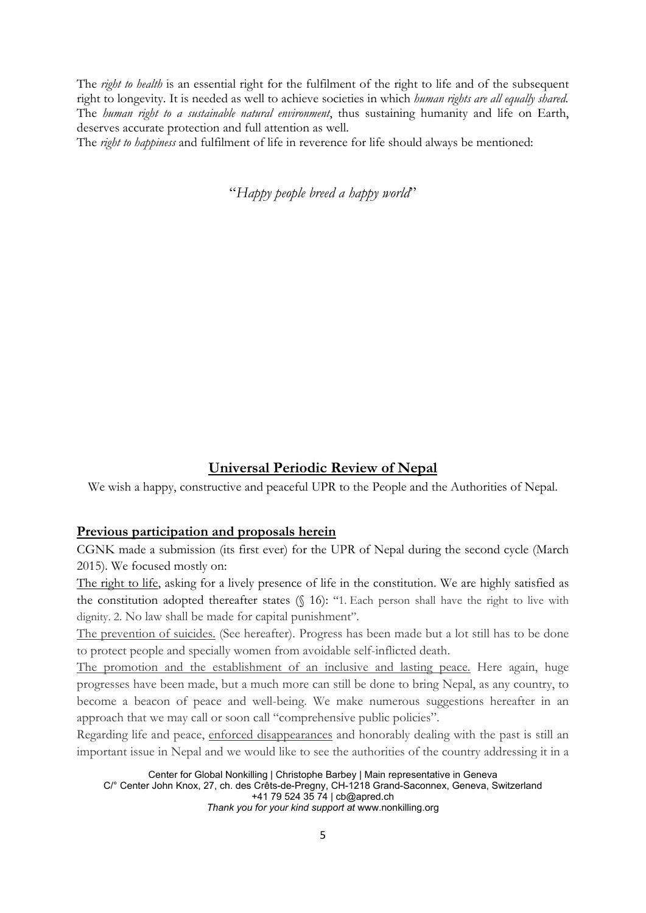The *right to health* is an essential right for the fulfilment of the right to life and of the subsequent right to longevity. It is needed as well to achieve societies in which *human rights are all equally shared*. The *human right to <sup>a</sup> sustainable natural environment*, thus sustaining humanity and life on Earth, deserves accurate protection and full attention as well.

The *right to happiness* and fulfilment of life in reverence for life should always be mentioned:

"*Happy people breed <sup>a</sup> happy world*"

# **Universal Periodic Review of Nepal**

We wish <sup>a</sup> happy, constructive and peaceful UPR to the People and the Authorities of Nepal.

# **Previous participation and proposals herein**

CGNK made <sup>a</sup> submission (its first ever) for the UPR of Nepal during the second cycle (March 2015). We focused mostly on:

The right to life, asking for <sup>a</sup> lively presence of life in the constitution. We are highly satisfied as the constitution adopted thereafter states (§ 16): "1. Each person shall have the right to live with dignity. 2. No law shall be made for capital punishment".

The prevention of suicides. (See hereafter). Progress has been made but <sup>a</sup> lot still has to be done to protect people and specially women from avoidable self-inflicted death.

The promotion and the establishment of an inclusive and lasting peace. Here again, huge progresses have been made, but <sup>a</sup> much more can still be done to bring Nepal, as any country, to become <sup>a</sup> beacon of peace and well-being. We make numerous suggestions hereafter in an approach that we may call or soon call "comprehensive public policies".

Regarding life and peace, enforced disappearances and honorably dealing with the past is still an important issue in Nepal and we would like to see the authorities of the country addressing it in <sup>a</sup>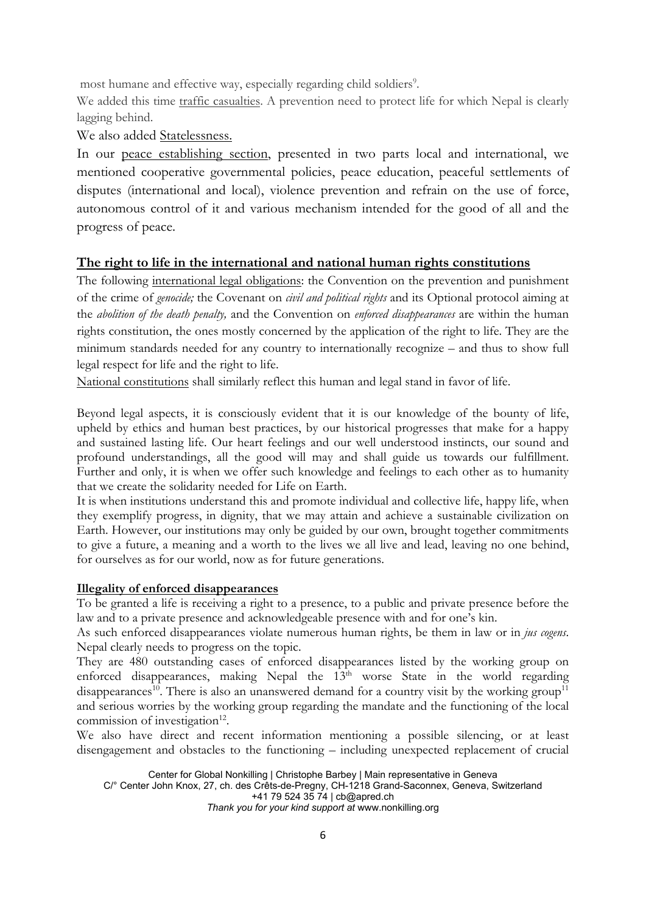most humane and effective way, especially regarding child soldiers 9 .

We added this time traffic casualties. A prevention need to protect life for which Nepal is clearly lagging behind.

We also added Statelessness.

In our peace establishing section, presented in two parts local and international, we mentioned cooperative governmental policies, peace education, peaceful settlements of disputes (international and local), violence prevention and refrain on the use of force, autonomous control of it and various mechanism intended for the good of all and the progress of peace.

# **The right to life in the international and national human rights constitutions**

The following international legal obligations: the Convention on the prevention and punishment of the crime of *genocide;* the Covenant on *civil and political rights* and its Optional protocol aiming at the *abolition of the death penalty,* and the Convention on *enforced disappearances* are within the human rights constitution, the ones mostly concerned by the application of the right to life. They are the minimum standards needed for any country to internationally recognize – and thus to show full legal respect for life and the right to life.

National constitutions shall similarly reflect this human and legal stand in favor of life.

Beyond legal aspects, it is consciously evident that it is our knowledge of the bounty of life, upheld by ethics and human best practices, by our historical progresses that make for <sup>a</sup> happy and sustained lasting life. Our heart feelings and our well understood instincts, our sound and profound understandings, all the good will may and shall guide us towards our fulfillment. Further and only, it is when we offer such knowledge and feelings to each other as to humanity that we create the solidarity needed for Life on Earth.

It is when institutions understand this and promote individual and collective life, happy life, when they exemplify progress, in dignity, that we may attain and achieve <sup>a</sup> sustainable civilization on Earth. However, our institutions may only be guided by our own, brought together commitments to give <sup>a</sup> future, <sup>a</sup> meaning and <sup>a</sup> worth to the lives we all live and lead, leaving no one behind, for ourselves as for our world, now as for future generations.

# **Illegality of enforced disappearances**

To be granted <sup>a</sup> life is receiving <sup>a</sup> right to <sup>a</sup> presence, to <sup>a</sup> public and private presence before the law and to <sup>a</sup> private presence and acknowledgeable presence with and for one'<sup>s</sup> kin.

As such enforced disappearances violate numerous human rights, be them in law or in *jus cogens*. Nepal clearly needs to progress on the topic.

They are 480 outstanding cases of enforced disappearances listed by the working group on enforced disappearances, making Nepal the 13<sup>th</sup> worse State in the world regarding disappearances<sup>10</sup>. There is also an unanswered demand for a country visit by the working group<sup>11</sup> and serious worries by the working group regarding the mandate and the functioning of the local commission of investigation<sup>12</sup>.

We also have direct and recent information mentioning <sup>a</sup> possible silencing, or at least disengagement and obstacles to the functioning – including unexpected replacement of crucial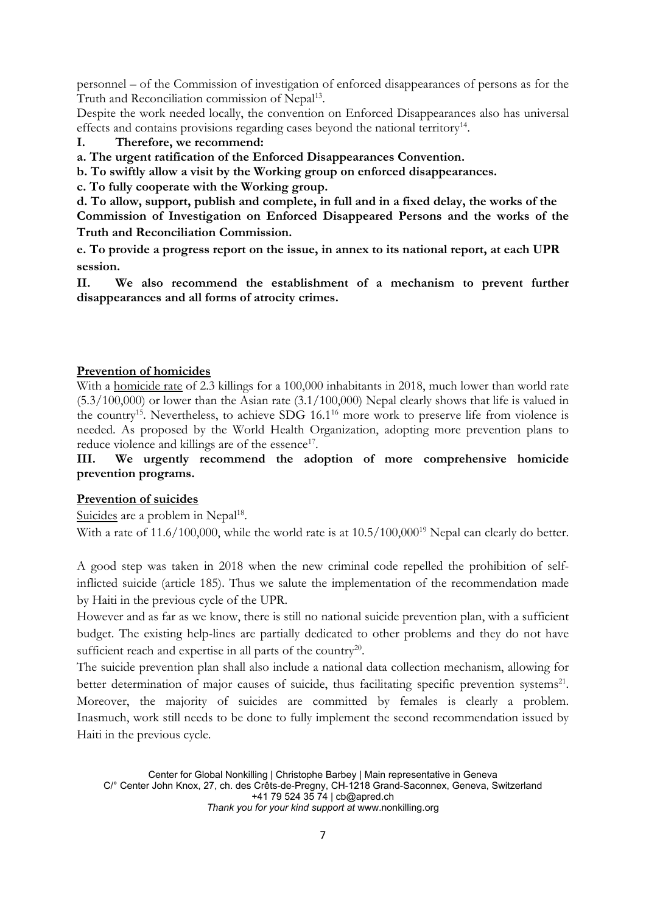personnel – of the Commission of investigation of enforced disappearances of persons as for the Truth and Reconciliation commission of Nepal<sup>13</sup>.

Despite the work needed locally, the convention on Enforced Disappearances also has universal effects and contains provisions regarding cases beyond the national territory<sup>14</sup>.

# **I. Therefore, we recommend:**

**a. The urgent ratification of the Enforced Disappearances Convention.**

- **b. To swiftly allow <sup>a</sup> visit by the Working group on enforced disappearances.**
- **c. To fully cooperate with the Working group.**

d. To allow, support, publish and complete, in full and in a fixed delay, the works of the **Commission of Investigation on Enforced Disappeared Persons and the works of the Truth and Reconciliation Commission.**

**e. To provide <sup>a</sup> progress report on the issue, in annex to its national report, at each UPR session.**

**II. We also recommend the establishment of <sup>a</sup> mechanism to prevent further disappearances and all forms of atrocity crimes.**

# **Prevention of homicides**

With <sup>a</sup> homicide rate of 2.3 killings for <sup>a</sup> 100,000 inhabitants in 2018, much lower than world rate  $(5.3/100,000)$  or lower than the Asian rate  $(3.1/100,000)$  Nepal clearly shows that life is valued in the country<sup>15</sup>. Nevertheless, to achieve SDG 16.1<sup>16</sup> more work to preserve life from violence is needed. As proposed by the World Health Organization, adopting more prevention plans to reduce violence and killings are of the essence<sup>17</sup>.

# **III. We urgently recommend the adoption of more comprehensive homicide prevention programs.**

#### **Prevention of suicides**

Suicides are a problem in Nepal<sup>18</sup>.

With a rate of 11.6/100,000, while the world rate is at  $10.5/100,000^{19}$  Nepal can clearly do better.

A good step was taken in 2018 when the new criminal code repelled the prohibition of selfinflicted suicide (article 185). Thus we salute the implementation of the recommendation made by Haiti in the previous cycle of the UPR.

However and as far as we know, there is still no national suicide prevention plan, with <sup>a</sup> sufficient budget. The existing help-lines are partially dedicated to other problems and they do not have sufficient reach and expertise in all parts of the country<sup>20</sup>.

The suicide prevention plan shall also include <sup>a</sup> national data collection mechanism, allowing for better determination of major causes of suicide, thus facilitating specific prevention systems<sup>21</sup>. Moreover, the majority of suicides are committed by females is clearly <sup>a</sup> problem. Inasmuch, work still needs to be done to fully implement the second recommendation issued by Haiti in the previous cycle.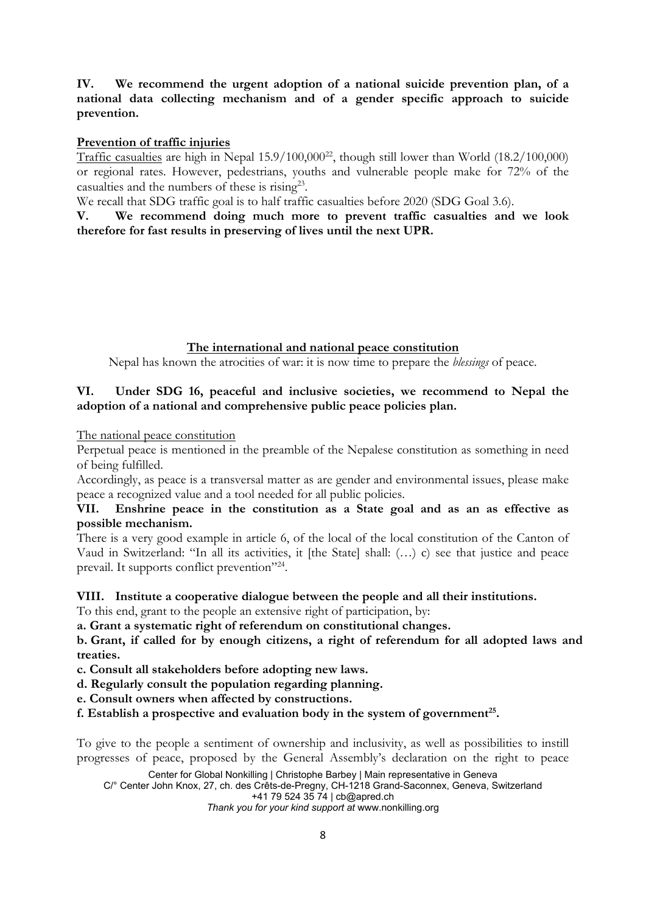# **IV. We recommend the urgent adoption of <sup>a</sup> national suicide prevention plan, of <sup>a</sup> national data collecting mechanism and of <sup>a</sup> gender specific approach to suicide prevention.**

# **Prevention of traffic injuries**

 $\overline{\text{ Traffic}~\text{casualties}}$  are high in Nepal 15.9/100,000<sup>22</sup>, though still lower than World (18.2/100,000) or regional rates. However, pedestrians, youths and vulnerable people make for 72% of the casualties and the numbers of these is rising<sup>23</sup>.

We recall that SDG traffic goal is to half traffic casualties before 2020 (SDG Goal 3.6).

**V. We recommend doing much more to prevent traffic casualties and we look therefore for fast results in preserving of lives until the next UPR.**

#### **The international and national peace constitution**

Nepal has known the atrocities of war: it is now time to prepare the *blessings* of peace.

# **VI. Under SDG 16, peaceful and inclusive societies, we recommend to Nepal the adoption of <sup>a</sup> national and comprehensive public peace policies plan.**

The national peace constitution

Perpetual peace is mentioned in the preamble of the Nepalese constitution as something in need of being fulfilled.

Accordingly, as peace is <sup>a</sup> transversal matter as are gender and environmental issues, please make peace <sup>a</sup> recognized value and <sup>a</sup> tool needed for all public policies.

# **VII. Enshrine peace in the constitution as <sup>a</sup> State goal and as an as effective as possible mechanism.**

There is <sup>a</sup> very good example in article 6, of the local of the local constitution of the Canton of Vaud in Switzerland: "In all its activities, it [the State] shall: (…) c) see that justice and peace prevail. It supports conflict prevention"<sup>24</sup>.

#### **VIII. Institute <sup>a</sup> cooperative dialogue between the people and all their institutions.**

To this end, grant to the people an extensive right of participation, by:

**a. Grant <sup>a</sup> systematic right of referendum on constitutional changes.**

**b. Grant, if called for by enough citizens, <sup>a</sup> right of referendum for all adopted laws and treaties.**

**c. Consult all stakeholders before adopting new laws.**

**d. Regularly consult the population regarding planning.**

**e. Consult owners when affected by constructions.**

**f. Establish <sup>a</sup> prospective and evaluation body in the system of government 25 .**

To give to the people <sup>a</sup> sentiment of ownership and inclusivity, as well as possibilities to instill progresses of peace, proposed by the General Assembly'<sup>s</sup> declaration on the right to peace

Center for Global Nonkilling | Christophe Barbey | Main representative in Geneva

C/° Center John Knox, 27, ch. des Crêts-de-Pregny, CH-1218 Grand-Saconnex, Geneva, Switzerland +41 79 524 35 74 | [cb@apred.ch](mailto:cb@apred.ch)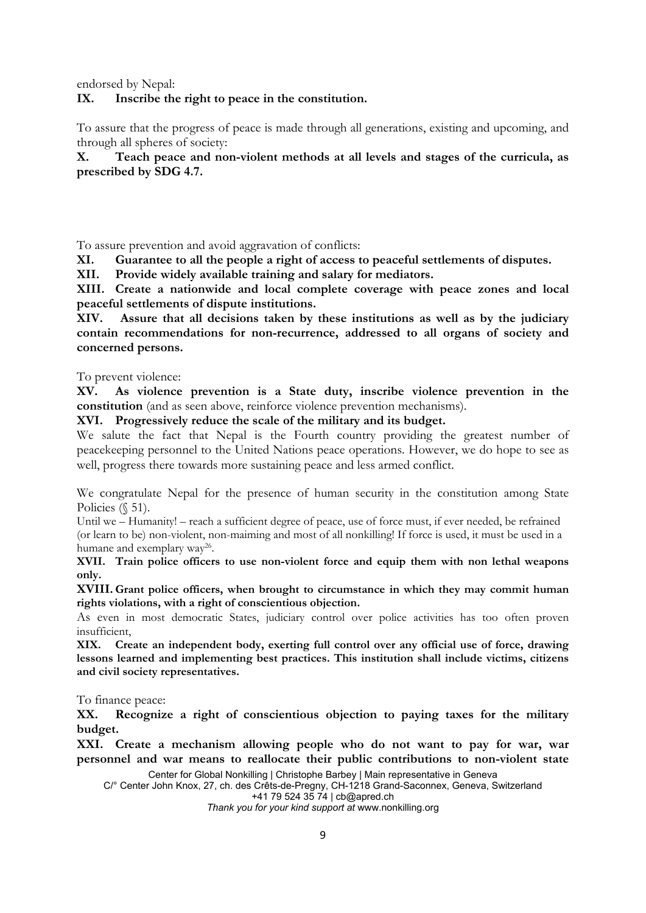endorsed by Nepal:

### **IX. Inscribe the right to peace in the constitution.**

To assure that the progress of peace is made through all generations, existing and upcoming, and through all spheres of society:

**X. Teach peace and non-violent methods at all levels and stages of the curricula, as prescribed by SDG 4.7.**

To assure prevention and avoid aggravation of conflicts:

**XI. Guarantee to all the people <sup>a</sup> right of access to peaceful settlements of disputes.**

**XII. Provide widely available training and salary for mediators.**

**XIII. Create <sup>a</sup> nationwide and local complete coverage with peace zones and local peaceful settlements of dispute institutions.**

**XIV. Assure that all decisions taken by these institutions as well as by the judiciary contain recommendations for non-recurrence, addressed to all organs of society and concerned persons.**

To prevent violence:

**XV. As violence prevention is <sup>a</sup> State duty, inscribe violence prevention in the constitution** (and as seen above, reinforce violence prevention mechanisms).

**XVI. Progressively reduce the scale of the military and its budget.**

We salute the fact that Nepal is the Fourth country providing the greatest number of peacekeeping personnel to the United Nations peace operations. However, we do hope to see as well, progress there towards more sustaining peace and less armed conflict.

We congratulate Nepal for the presence of human security in the constitution among State Policies (§ 51).

Until we – Humanity! – reach <sup>a</sup> sufficient degree of peace, use of force must, if ever needed, be refrained (or learn to be) non-violent, non-maiming and most of all nonkilling! If force is used, it must be used in <sup>a</sup> humane and exemplary way<sup>26</sup>.

**XVII. Train police officers to use non-violent force and equip them with non lethal weapons only.**

**XVIII. Grant police officers, when brought to circumstance in which they may commit human rights violations, with <sup>a</sup> right of conscientious objection.**

As <sup>e</sup>ven in most democratic States, judiciary control over police activities has too often proven insufficient,

**XIX. Create an independent body, exerting full control over any official use of force, drawing lessons learned and implementing best practices. This institution shall include victims, citizens and civil society representatives.**

To finance peace:

**XX. Recognize <sup>a</sup> right of conscientious objection to paying taxes for the military budget.**

**XXI. Create <sup>a</sup> mechanism allowing people who do not want to pay for war, war personnel and war means to reallocate their public contributions to non-violent state**

Center for Global Nonkilling | Christophe Barbey | Main representative in Geneva

C/° Center John Knox, 27, ch. des Crêts-de-Pregny, CH-1218 Grand-Saconnex, Geneva, Switzerland +41 79 524 35 74 | [cb@apred.ch](mailto:cb@apred.ch)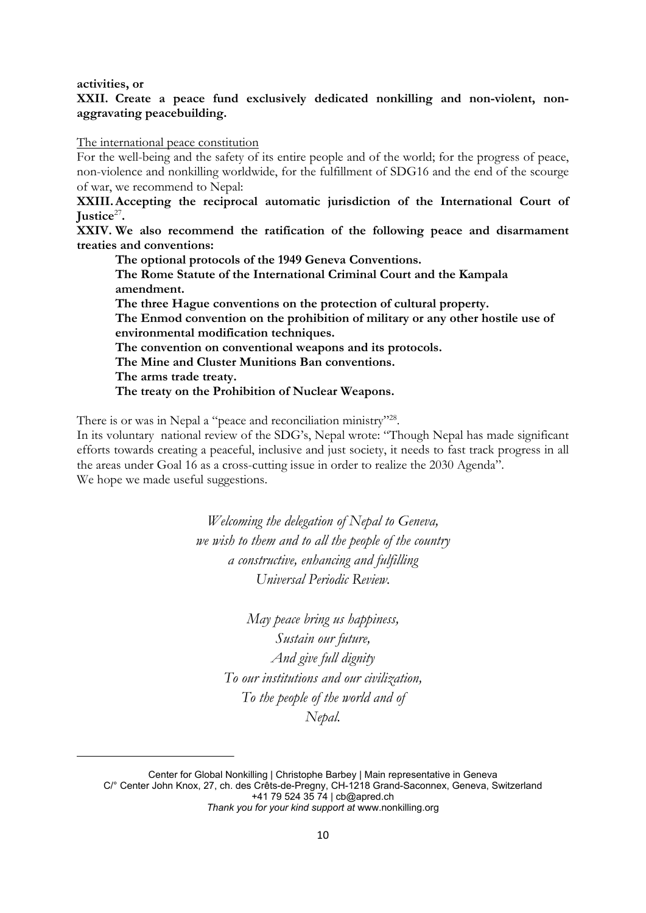**activities, or**

# **XXII. Create <sup>a</sup> peace fund exclusively dedicated nonkilling and non-violent, nonaggravating peacebuilding.**

The international peace constitution

For the well-being and the safety of its entire people and of the world; for the progress of peace, non-violence and nonkilling worldwide, for the fulfillment of SDG16 and the end of the scourge of war, we recommend to Nepal:

**XXIII.Accepting the reciprocal automatic jurisdiction of the International Court of Justice**<sup>27</sup> **.**

**XXIV. We also recommend the ratification of the following peace and disarmament treaties and conventions:**

**The optional protocols of the 1949 Geneva Conventions. The Rome Statute of the International Criminal Court and the Kampala amendment. The three Hague conventions on the protection of cultural property. The Enmod convention on the prohibition of military or any other hostile use of environmental modification techniques. The convention on conventional weapons and its protocols. The Mine and Cluster Munitions Ban conventions. The arms trade treaty. The treaty on the Prohibition of Nuclear Weapons.**

There is or was in Nepal a "peace and reconciliation ministry"<sup>28</sup>.

In its voluntary national review of the SDG's, Nepal wrote: "Though Nepal has made significant efforts towards creating <sup>a</sup> peaceful, inclusive and just society, it needs to fast track progress in all the areas under Goal 16 as <sup>a</sup> cross-cutting issue in order to realize the 2030 Agenda". We hope we made useful suggestions.

> *Welcoming the delegation of Nepal to Geneva, we wish to them and to all the people of the country <sup>a</sup> constructive, enhancing and fulfilling Universal Periodic Review.*

*May peace bring us happiness, Sustain our future, And give full dignity To our institutions and our civilization, To the people of the world and of Nepal.*

Center for Global Nonkilling | Christophe Barbey | Main representative in Geneva C/° Center John Knox, 27, ch. des Crêts-de-Pregny, CH-1218 Grand-Saconnex, Geneva, Switzerland +41 79 524 35 74 | [cb@apred.ch](mailto:cb@apred.ch) *Thank you for your kind support at* [www.nonkilling.org](http://www.nonkilling.org)